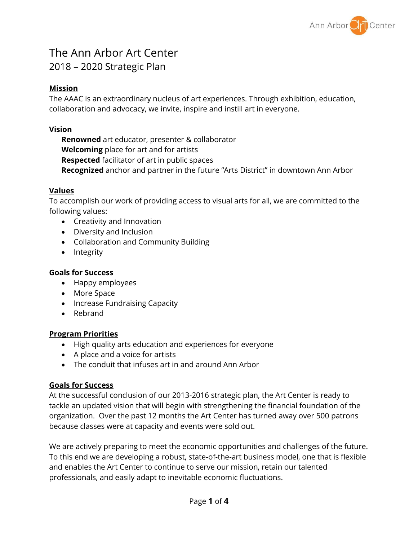

# The Ann Arbor Art Center 2018 – 2020 Strategic Plan

# **Mission**

The AAAC is an extraordinary nucleus of art experiences. Through exhibition, education, collaboration and advocacy, we invite, inspire and instill art in everyone.

# **Vision**

**Renowned** art educator, presenter & collaborator **Welcoming** place for art and for artists **Respected** facilitator of art in public spaces **Recognized** anchor and partner in the future "Arts District" in downtown Ann Arbor

# **Values**

To accomplish our work of providing access to visual arts for all, we are committed to the following values:

- Creativity and Innovation
- Diversity and Inclusion
- Collaboration and Community Building
- Integrity

# **Goals for Success**

- Happy employees
- More Space
- Increase Fundraising Capacity
- Rebrand

# **Program Priorities**

- High quality arts education and experiences for everyone
- A place and a voice for artists
- The conduit that infuses art in and around Ann Arbor

# **Goals for Success**

At the successful conclusion of our 2013-2016 strategic plan, the Art Center is ready to tackle an updated vision that will begin with strengthening the financial foundation of the organization. Over the past 12 months the Art Center has turned away over 500 patrons because classes were at capacity and events were sold out.

We are actively preparing to meet the economic opportunities and challenges of the future. To this end we are developing a robust, state-of-the-art business model, one that is flexible and enables the Art Center to continue to serve our mission, retain our talented professionals, and easily adapt to inevitable economic fluctuations.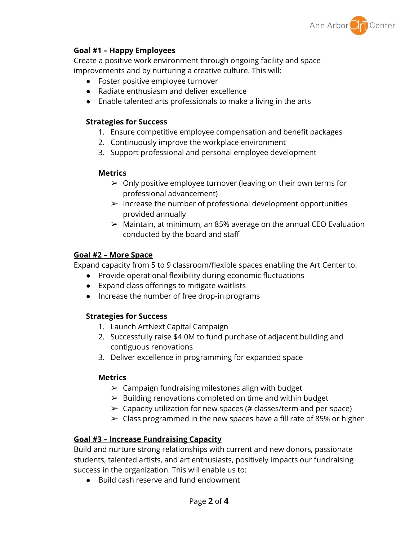

## **Goal #1 – Happy Employees**

Create a positive work environment through ongoing facility and space improvements and by nurturing a creative culture. This will:

- Foster positive employee turnover
- Radiate enthusiasm and deliver excellence
- Enable talented arts professionals to make a living in the arts

## **Strategies for Success**

- 1. Ensure competitive employee compensation and benefit packages
- 2. Continuously improve the workplace environment
- 3. Support professional and personal employee development

## **Metrics**

- $\geq 0$ nly positive employee turnover (leaving on their own terms for professional advancement)
- $\triangleright$  Increase the number of professional development opportunities provided annually
- $\geq$  Maintain, at minimum, an 85% average on the annual CEO Evaluation conducted by the board and staff

# **Goal #2 – More Space**

Expand capacity from 5 to 9 classroom/flexible spaces enabling the Art Center to:

- Provide operational flexibility during economic fluctuations
- Expand class offerings to mitigate waitlists
- Increase the number of free drop-in programs

# **Strategies for Success**

- 1. Launch ArtNext Capital Campaign
- 2. Successfully raise \$4.0M to fund purchase of adjacent building and contiguous renovations
- 3. Deliver excellence in programming for expanded space

## **Metrics**

- $\triangleright$  Campaign fundraising milestones align with budget
- $\triangleright$  Building renovations completed on time and within budget
- $\geq$  Capacity utilization for new spaces (# classes/term and per space)
- $\geq$  Class programmed in the new spaces have a fill rate of 85% or higher

# **Goal #3 – Increase Fundraising Capacity**

Build and nurture strong relationships with current and new donors, passionate students, talented artists, and art enthusiasts, positively impacts our fundraising success in the organization. This will enable us to:

● Build cash reserve and fund endowment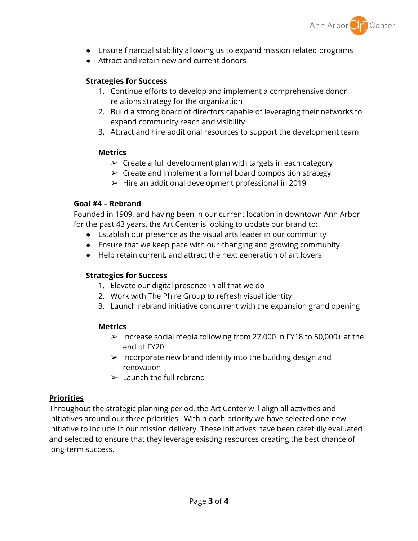

- Ensure financial stability allowing us to expand mission related programs
- Attract and retain new and current donors

## **Strategies for Success**

- 1. Continue efforts to develop and implement a comprehensive donor relations strategy for the organization
- 2. Build a strong board of directors capable of leveraging their networks to expand community reach and visibility
- 3. Attract and hire additional resources to support the development team

## **Metrics**

- $\triangleright$  Create a full development plan with targets in each category
- $\triangleright$  Create and implement a formal board composition strategy
- $\blacktriangleright$  Hire an additional development professional in 2019

## **Goal #4 – Rebrand**

Founded in 1909, and having been in our current location in downtown Ann Arbor for the past 43 years, the Art Center is looking to update our brand to:

- Establish our presence as the visual arts leader in our community
- Ensure that we keep pace with our changing and growing community
- Help retain current, and attract the next generation of art lovers

# **Strategies for Success**

- 1. Elevate our digital presence in all that we do
- 2. Work with The Phire Group to refresh visual identity
- 3. Launch rebrand initiative concurrent with the expansion grand opening

## **Metrics**

- $\geq$  Increase social media following from 27,000 in FY18 to 50,000+ at the end of FY20
- $\triangleright$  Incorporate new brand identity into the building design and renovation
- $\blacktriangleright$  Launch the full rebrand

# **Priorities**

Throughout the strategic planning period, the Art Center will align all activities and initiatives around our three priorities. Within each priority we have selected one new initiative to include in our mission delivery. These initiatives have been carefully evaluated and selected to ensure that they leverage existing resources creating the best chance of long-term success.